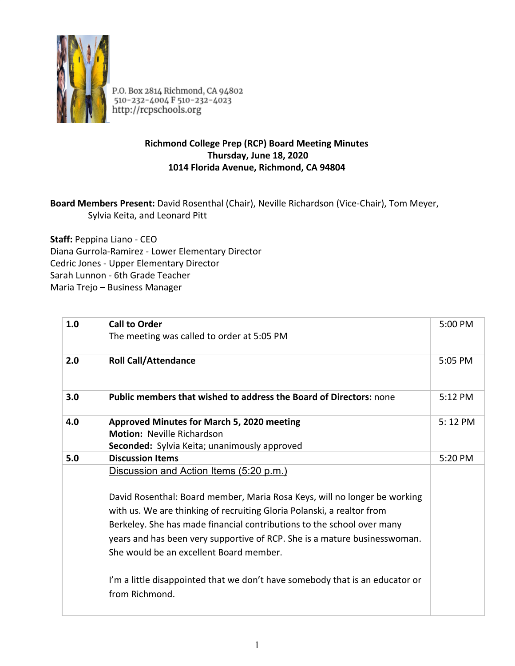

P.O. Box 2814 Richmond, CA 94802<br>510-232-4004 F 510-232-4023<br>http://rcpschools.org

## **Richmond College Prep (RCP) Board Meeting Minutes Thursday, June 18, 2020 1014 Florida Avenue, Richmond, CA 94804**

## **Board Members Present:** David Rosenthal (Chair), Neville Richardson (Vice-Chair), Tom Meyer, Sylvia Keita, and Leonard Pitt

**Staff:** Peppina Liano - CEO Diana Gurrola-Ramirez - Lower Elementary Director Cedric Jones - Upper Elementary Director Sarah Lunnon - 6th Grade Teacher Maria Trejo – Business Manager

| 1.0 | <b>Call to Order</b><br>The meeting was called to order at 5:05 PM                                                                                                                             | 5:00 PM           |
|-----|------------------------------------------------------------------------------------------------------------------------------------------------------------------------------------------------|-------------------|
| 2.0 | <b>Roll Call/Attendance</b>                                                                                                                                                                    | 5:05 PM           |
| 3.0 | <b>Public members that wished to address the Board of Directors: none</b>                                                                                                                      | $5:12 \text{ PM}$ |
| 4.0 | Approved Minutes for March 5, 2020 meeting<br><b>Motion: Neville Richardson</b><br>Seconded: Sylvia Keita; unanimously approved                                                                | 5:12 PM           |
| 5.0 | <b>Discussion Items</b>                                                                                                                                                                        | 5:20 PM           |
|     | Discussion and Action Items (5:20 p.m.)<br>David Rosenthal: Board member, Maria Rosa Keys, will no longer be working<br>with us. We are thinking of recruiting Gloria Polanski, a realtor from |                   |
|     | Berkeley. She has made financial contributions to the school over many                                                                                                                         |                   |
|     | years and has been very supportive of RCP. She is a mature businesswoman.                                                                                                                      |                   |
|     | She would be an excellent Board member.                                                                                                                                                        |                   |
|     | I'm a little disappointed that we don't have somebody that is an educator or<br>from Richmond.                                                                                                 |                   |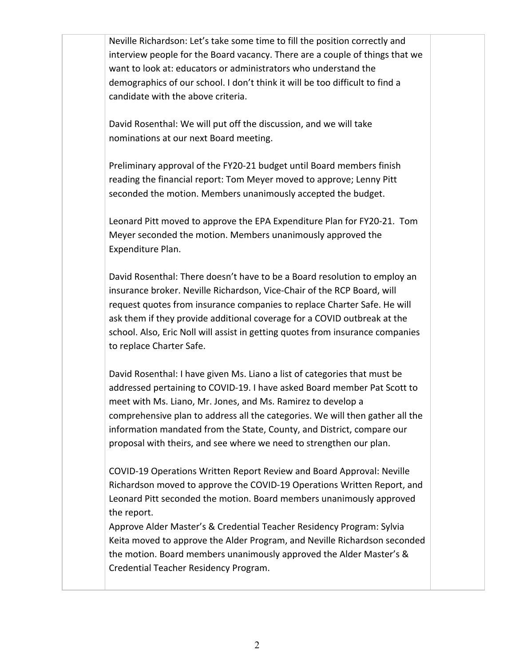Neville Richardson: Let's take some time to fill the position correctly and interview people for the Board vacancy. There are a couple of things that we want to look at: educators or administrators who understand the demographics of our school. I don't think it will be too difficult to find a candidate with the above criteria.

David Rosenthal: We will put off the discussion, and we will take nominations at our next Board meeting.

Preliminary approval of the FY20-21 budget until Board members finish reading the financial report: Tom Meyer moved to approve; Lenny Pitt seconded the motion. Members unanimously accepted the budget.

Leonard Pitt moved to approve the EPA Expenditure Plan for FY20-21. Tom Meyer seconded the motion. Members unanimously approved the Expenditure Plan.

David Rosenthal: There doesn't have to be a Board resolution to employ an insurance broker. Neville Richardson, Vice-Chair of the RCP Board, will request quotes from insurance companies to replace Charter Safe. He will ask them if they provide additional coverage for a COVID outbreak at the school. Also, Eric Noll will assist in getting quotes from insurance companies to replace Charter Safe.

David Rosenthal: I have given Ms. Liano a list of categories that must be addressed pertaining to COVID-19. I have asked Board member Pat Scott to meet with Ms. Liano, Mr. Jones, and Ms. Ramirez to develop a comprehensive plan to address all the categories. We will then gather all the information mandated from the State, County, and District, compare our proposal with theirs, and see where we need to strengthen our plan.

COVID-19 Operations Written Report Review and Board Approval: Neville Richardson moved to approve the COVID-19 Operations Written Report, and Leonard Pitt seconded the motion. Board members unanimously approved the report.

Approve Alder Master's & Credential Teacher Residency Program: Sylvia Keita moved to approve the Alder Program, and Neville Richardson seconded the motion. Board members unanimously approved the Alder Master's & Credential Teacher Residency Program.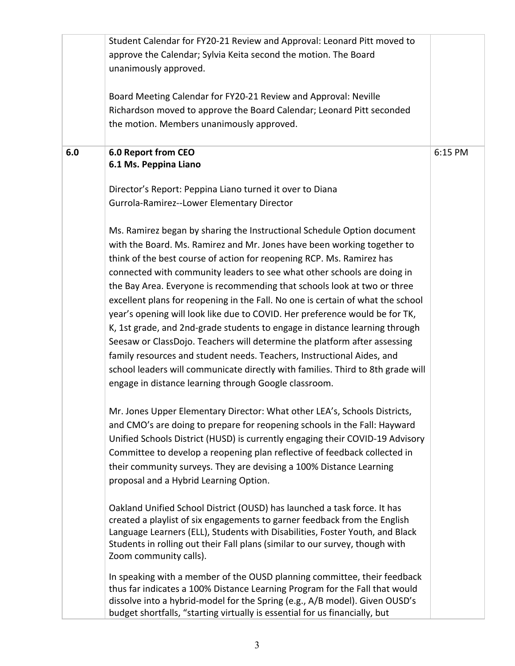|     | Student Calendar for FY20-21 Review and Approval: Leonard Pitt moved to<br>approve the Calendar; Sylvia Keita second the motion. The Board<br>unanimously approved.<br>Board Meeting Calendar for FY20-21 Review and Approval: Neville<br>Richardson moved to approve the Board Calendar; Leonard Pitt seconded<br>the motion. Members unanimously approved.                                                                                                                                                                                                                                                                                                                                                                                                                                                                                                                                                                                                                         |         |
|-----|--------------------------------------------------------------------------------------------------------------------------------------------------------------------------------------------------------------------------------------------------------------------------------------------------------------------------------------------------------------------------------------------------------------------------------------------------------------------------------------------------------------------------------------------------------------------------------------------------------------------------------------------------------------------------------------------------------------------------------------------------------------------------------------------------------------------------------------------------------------------------------------------------------------------------------------------------------------------------------------|---------|
| 6.0 | 6.0 Report from CEO<br>6.1 Ms. Peppina Liano<br>Director's Report: Peppina Liano turned it over to Diana                                                                                                                                                                                                                                                                                                                                                                                                                                                                                                                                                                                                                                                                                                                                                                                                                                                                             | 6:15 PM |
|     | Gurrola-Ramirez--Lower Elementary Director<br>Ms. Ramirez began by sharing the Instructional Schedule Option document<br>with the Board. Ms. Ramirez and Mr. Jones have been working together to<br>think of the best course of action for reopening RCP. Ms. Ramirez has<br>connected with community leaders to see what other schools are doing in<br>the Bay Area. Everyone is recommending that schools look at two or three<br>excellent plans for reopening in the Fall. No one is certain of what the school<br>year's opening will look like due to COVID. Her preference would be for TK,<br>K, 1st grade, and 2nd-grade students to engage in distance learning through<br>Seesaw or ClassDojo. Teachers will determine the platform after assessing<br>family resources and student needs. Teachers, Instructional Aides, and<br>school leaders will communicate directly with families. Third to 8th grade will<br>engage in distance learning through Google classroom. |         |
|     | Mr. Jones Upper Elementary Director: What other LEA's, Schools Districts,<br>and CMO's are doing to prepare for reopening schools in the Fall: Hayward<br>Unified Schools District (HUSD) is currently engaging their COVID-19 Advisory<br>Committee to develop a reopening plan reflective of feedback collected in<br>their community surveys. They are devising a 100% Distance Learning<br>proposal and a Hybrid Learning Option.<br>Oakland Unified School District (OUSD) has launched a task force. It has<br>created a playlist of six engagements to garner feedback from the English<br>Language Learners (ELL), Students with Disabilities, Foster Youth, and Black<br>Students in rolling out their Fall plans (similar to our survey, though with<br>Zoom community calls).                                                                                                                                                                                             |         |
|     | In speaking with a member of the OUSD planning committee, their feedback<br>thus far indicates a 100% Distance Learning Program for the Fall that would<br>dissolve into a hybrid-model for the Spring (e.g., A/B model). Given OUSD's<br>budget shortfalls, "starting virtually is essential for us financially, but                                                                                                                                                                                                                                                                                                                                                                                                                                                                                                                                                                                                                                                                |         |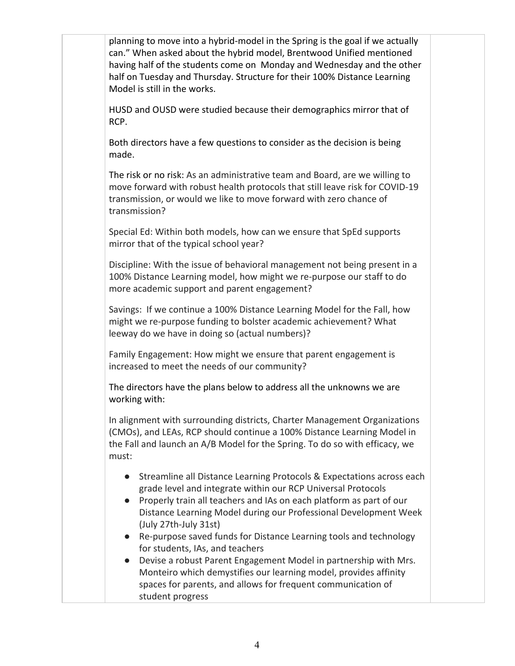planning to move into a hybrid-model in the Spring is the goal if we actually can." When asked about the hybrid model, Brentwood Unified mentioned having half of the students come on Monday and Wednesday and the other half on Tuesday and Thursday. Structure for their 100% Distance Learning Model is still in the works.

HUSD and OUSD were studied because their demographics mirror that of RCP.

Both directors have a few questions to consider as the decision is being made.

The risk or no risk: As an administrative team and Board, are we willing to move forward with robust health protocols that still leave risk for COVID-19 transmission, or would we like to move forward with zero chance of transmission?

Special Ed: Within both models, how can we ensure that SpEd supports mirror that of the typical school year?

Discipline: With the issue of behavioral management not being present in a 100% Distance Learning model, how might we re-purpose our staff to do more academic support and parent engagement?

Savings: If we continue a 100% Distance Learning Model for the Fall, how might we re-purpose funding to bolster academic achievement? What leeway do we have in doing so (actual numbers)?

Family Engagement: How might we ensure that parent engagement is increased to meet the needs of our community?

The directors have the plans below to address all the unknowns we are working with:

In alignment with surrounding districts, Charter Management Organizations (CMOs), and LEAs, RCP should continue a 100% Distance Learning Model in the Fall and launch an A/B Model for the Spring. To do so with efficacy, we must:

- Streamline all Distance Learning Protocols & Expectations across each grade level and integrate within our RCP Universal Protocols
- Properly train all teachers and IAs on each platform as part of our Distance Learning Model during our Professional Development Week (July 27th-July 31st)
- Re-purpose saved funds for Distance Learning tools and technology for students, IAs, and teachers
- Devise a robust Parent Engagement Model in partnership with Mrs. Monteiro which demystifies our learning model, provides affinity spaces for parents, and allows for frequent communication of student progress